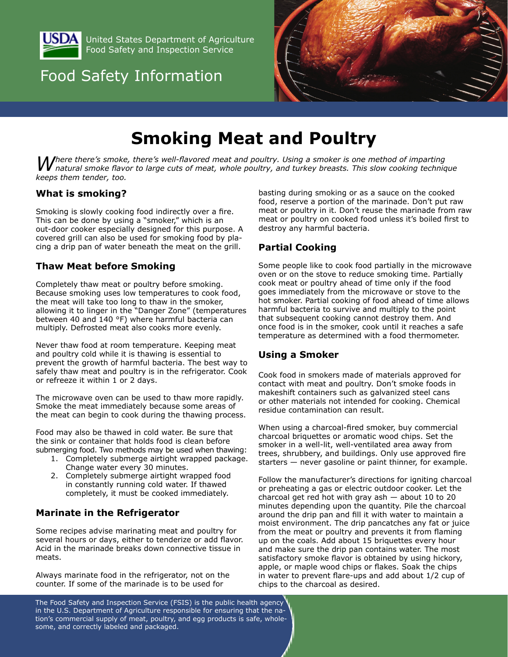

United States Department of Agriculture Food Safety and Inspection Service

## Food Safety Information



# **Smoking Meat and Poultry**

Where there's smoke, there's well-flavored meat and poultry. Using a smoker is one method of imparting<br>W natural smoke flavor to large cuts of meat, whole poultry, and turkey breasts. This slow cooking technique *keeps them tender, too.*

#### **What is smoking?**

Smoking is slowly cooking food indirectly over a fire. This can be done by using a "smoker," which is an out-door cooker especially designed for this purpose. A covered grill can also be used for smoking food by placing a drip pan of water beneath the meat on the grill.

#### **Thaw Meat before Smoking**

Completely thaw meat or poultry before smoking. Because smoking uses low temperatures to cook food, the meat will take too long to thaw in the smoker, allowing it to linger in the "Danger Zone" (temperatures between 40 and 140 °F) where harmful bacteria can multiply. Defrosted meat also cooks more evenly.

Never thaw food at room temperature. Keeping meat and poultry cold while it is thawing is essential to prevent the growth of harmful bacteria. The best way to safely thaw meat and poultry is in the refrigerator. Cook or refreeze it within 1 or 2 days.

The microwave oven can be used to thaw more rapidly. Smoke the meat immediately because some areas of the meat can begin to cook during the thawing process.

Food may also be thawed in cold water. Be sure that the sink or container that holds food is clean before submerging food. Two methods may be used when thawing:

- 1. Completely submerge airtight wrapped package. Change water every 30 minutes.
- 2. Completely submerge airtight wrapped food in constantly running cold water. If thawed completely, it must be cooked immediately.

#### **Marinate in the Refrigerator**

Some recipes advise marinating meat and poultry for several hours or days, either to tenderize or add flavor. Acid in the marinade breaks down connective tissue in meats.

Always marinate food in the refrigerator, not on the counter. If some of the marinade is to be used for

basting during smoking or as a sauce on the cooked food, reserve a portion of the marinade. Don't put raw meat or poultry in it. Don't reuse the marinade from raw meat or poultry on cooked food unless it's boiled first to destroy any harmful bacteria.

#### **Partial Cooking**

Some people like to cook food partially in the microwave oven or on the stove to reduce smoking time. Partially cook meat or poultry ahead of time only if the food goes immediately from the microwave or stove to the hot smoker. Partial cooking of food ahead of time allows harmful bacteria to survive and multiply to the point that subsequent cooking cannot destroy them. And once food is in the smoker, cook until it reaches a safe temperature as determined with a food thermometer.

#### **Using a Smoker**

Cook food in smokers made of materials approved for contact with meat and poultry. Don't smoke foods in makeshift containers such as galvanized steel cans or other materials not intended for cooking. Chemical residue contamination can result.

When using a charcoal-fired smoker, buy commercial charcoal briquettes or aromatic wood chips. Set the smoker in a well-lit, well-ventilated area away from trees, shrubbery, and buildings. Only use approved fire starters — never gasoline or paint thinner, for example.

Follow the manufacturer's directions for igniting charcoal or preheating a gas or electric outdoor cooker. Let the charcoal get red hot with gray ash  $-$  about 10 to 20 minutes depending upon the quantity. Pile the charcoal around the drip pan and fill it with water to maintain a moist environment. The drip pancatches any fat or juice from the meat or poultry and prevents it from flaming up on the coals. Add about 15 briquettes every hour and make sure the drip pan contains water. The most satisfactory smoke flavor is obtained by using hickory, apple, or maple wood chips or flakes. Soak the chips in water to prevent flare-ups and add about 1/2 cup of chips to the charcoal as desired.

The Food Safety and Inspection Service (FSIS) is the public health agency in the U.S. Department of Agriculture responsible for ensuring that the nation's commercial supply of meat, poultry, and egg products is safe, wholesome, and correctly labeled and packaged.